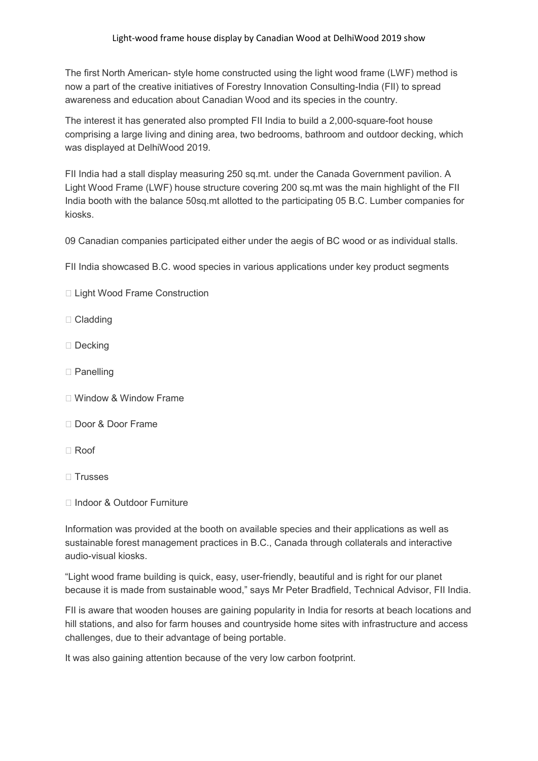The first North American- style home constructed using the light wood frame (LWF) method is now a part of the creative initiatives of Forestry Innovation Consulting-India (FII) to spread awareness and education about Canadian Wood and its species in the country.

The interest it has generated also prompted FII India to build a 2,000-square-foot house comprising a large living and dining area, two bedrooms, bathroom and outdoor decking, which was displayed at DelhiWood 2019.

FII India had a stall display measuring 250 sq.mt. under the Canada Government pavilion. A Light Wood Frame (LWF) house structure covering 200 sq.mt was the main highlight of the FII India booth with the balance 50sq.mt allotted to the participating 05 B.C. Lumber companies for kiosks.

09 Canadian companies participated either under the aegis of BC wood or as individual stalls.

FII India showcased B.C. wood species in various applications under key product segments

- □ Light Wood Frame Construction
- □ Cladding
- □ Decking
- □ Panelling
- Window & Window Frame
- Door & Door Frame
- Roof
- $\Box$  Trusses
- Indoor & Outdoor Furniture

Information was provided at the booth on available species and their applications as well as sustainable forest management practices in B.C., Canada through collaterals and interactive audio-visual kiosks.

"Light wood frame building is quick, easy, user-friendly, beautiful and is right for our planet because it is made from sustainable wood," says Mr Peter Bradfield, Technical Advisor, FII India.

FII is aware that wooden houses are gaining popularity in India for resorts at beach locations and hill stations, and also for farm houses and countryside home sites with infrastructure and access challenges, due to their advantage of being portable.

It was also gaining attention because of the very low carbon footprint.